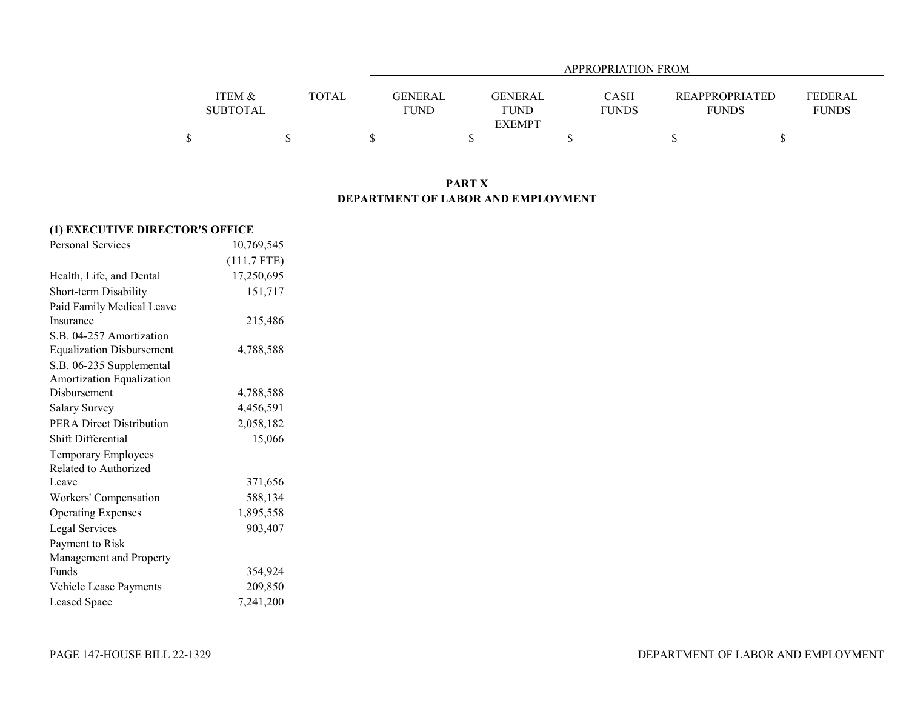| APPROPRIATION FROM |  |              |                |                |              |                       |              |  |  |
|--------------------|--|--------------|----------------|----------------|--------------|-----------------------|--------------|--|--|
|                    |  |              |                |                |              |                       |              |  |  |
| ITEM &             |  | <b>TOTAL</b> | <b>GENERAL</b> | <b>GENERAL</b> | <b>CASH</b>  | <b>REAPPROPRIATED</b> | FEDERAL      |  |  |
| SUBTOTAL           |  |              | <b>FUND</b>    | <b>FUND</b>    | <b>FUNDS</b> | <b>FUNDS</b>          | <b>FUNDS</b> |  |  |
|                    |  |              |                | <b>EXEMPT</b>  |              |                       |              |  |  |
|                    |  |              |                |                |              |                       |              |  |  |

## **PART X DEPARTMENT OF LABOR AND EMPLOYMENT**

| (1) EXECUTIVE DIRECTOR'S OFFICE  |               |  |  |  |  |  |  |
|----------------------------------|---------------|--|--|--|--|--|--|
| <b>Personal Services</b>         | 10,769,545    |  |  |  |  |  |  |
|                                  | $(111.7$ FTE) |  |  |  |  |  |  |
| Health, Life, and Dental         | 17,250,695    |  |  |  |  |  |  |
| Short-term Disability            | 151,717       |  |  |  |  |  |  |
| Paid Family Medical Leave        |               |  |  |  |  |  |  |
| Insurance                        | 215,486       |  |  |  |  |  |  |
| S.B. 04-257 Amortization         |               |  |  |  |  |  |  |
| <b>Equalization Disbursement</b> | 4,788,588     |  |  |  |  |  |  |
| S.B. 06-235 Supplemental         |               |  |  |  |  |  |  |
| Amortization Equalization        |               |  |  |  |  |  |  |
| Disbursement                     | 4,788,588     |  |  |  |  |  |  |
| <b>Salary Survey</b>             | 4,456,591     |  |  |  |  |  |  |
| <b>PERA Direct Distribution</b>  | 2,058,182     |  |  |  |  |  |  |
| Shift Differential               | 15,066        |  |  |  |  |  |  |
| Temporary Employees              |               |  |  |  |  |  |  |
| Related to Authorized            |               |  |  |  |  |  |  |
| Leave                            | 371,656       |  |  |  |  |  |  |
| Workers' Compensation            | 588,134       |  |  |  |  |  |  |
| <b>Operating Expenses</b>        | 1,895,558     |  |  |  |  |  |  |
| <b>Legal Services</b>            | 903,407       |  |  |  |  |  |  |
| Payment to Risk                  |               |  |  |  |  |  |  |
| Management and Property          |               |  |  |  |  |  |  |
| Funds                            | 354,924       |  |  |  |  |  |  |
| Vehicle Lease Payments           | 209,850       |  |  |  |  |  |  |
| Leased Space                     | 7,241,200     |  |  |  |  |  |  |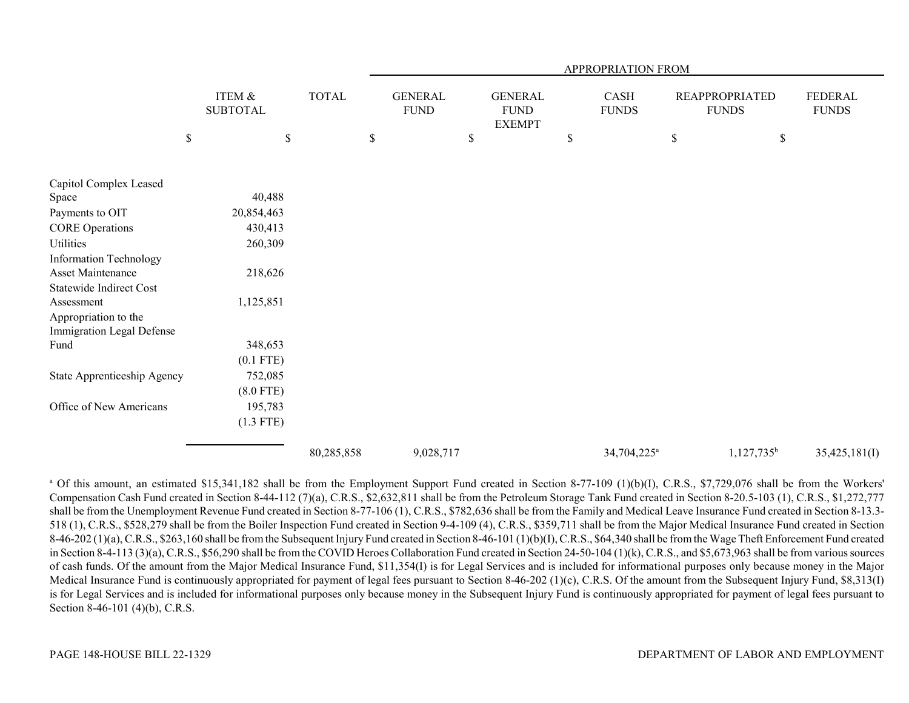|                                                   |      |                           |              |      |                                |                                                | APPROPRIATION FROM          |             |                                       |                                |
|---------------------------------------------------|------|---------------------------|--------------|------|--------------------------------|------------------------------------------------|-----------------------------|-------------|---------------------------------------|--------------------------------|
|                                                   |      | ITEM &<br><b>SUBTOTAL</b> | <b>TOTAL</b> |      | <b>GENERAL</b><br>${\rm FUND}$ | <b>GENERAL</b><br><b>FUND</b><br><b>EXEMPT</b> | <b>CASH</b><br><b>FUNDS</b> |             | <b>REAPPROPRIATED</b><br><b>FUNDS</b> | <b>FEDERAL</b><br><b>FUNDS</b> |
|                                                   | $\$$ | $\$$                      |              | $\$$ |                                | \$                                             | \$                          | $\mathbb S$ | \$                                    |                                |
| Capitol Complex Leased                            |      |                           |              |      |                                |                                                |                             |             |                                       |                                |
| Space                                             |      | 40,488                    |              |      |                                |                                                |                             |             |                                       |                                |
| Payments to OIT                                   |      | 20,854,463                |              |      |                                |                                                |                             |             |                                       |                                |
| <b>CORE Operations</b>                            |      | 430,413                   |              |      |                                |                                                |                             |             |                                       |                                |
| Utilities                                         |      | 260,309                   |              |      |                                |                                                |                             |             |                                       |                                |
| <b>Information Technology</b>                     |      |                           |              |      |                                |                                                |                             |             |                                       |                                |
| <b>Asset Maintenance</b>                          |      | 218,626                   |              |      |                                |                                                |                             |             |                                       |                                |
| <b>Statewide Indirect Cost</b>                    |      |                           |              |      |                                |                                                |                             |             |                                       |                                |
| Assessment                                        |      | 1,125,851                 |              |      |                                |                                                |                             |             |                                       |                                |
| Appropriation to the<br>Immigration Legal Defense |      |                           |              |      |                                |                                                |                             |             |                                       |                                |
| Fund                                              |      | 348,653                   |              |      |                                |                                                |                             |             |                                       |                                |
|                                                   |      | $(0.1$ FTE)               |              |      |                                |                                                |                             |             |                                       |                                |
| State Apprenticeship Agency                       |      | 752,085                   |              |      |                                |                                                |                             |             |                                       |                                |
|                                                   |      | $(8.0$ FTE)               |              |      |                                |                                                |                             |             |                                       |                                |
| Office of New Americans                           |      | 195,783                   |              |      |                                |                                                |                             |             |                                       |                                |
|                                                   |      | $(1.3$ FTE)               |              |      |                                |                                                |                             |             |                                       |                                |
|                                                   |      |                           | 80,285,858   |      | 9,028,717                      |                                                | 34,704,225 <sup>a</sup>     |             | $1,127,735^b$                         | 35,425,181(I)                  |

<sup>a</sup> Of this amount, an estimated \$15,341,182 shall be from the Employment Support Fund created in Section 8-77-109 (1)(b)(I), C.R.S., \$7,729,076 shall be from the Workers' Compensation Cash Fund created in Section 8-44-112 (7)(a), C.R.S., \$2,632,811 shall be from the Petroleum Storage Tank Fund created in Section 8-20.5-103 (1), C.R.S., \$1,272,777 shall be from the Unemployment Revenue Fund created in Section 8-77-106 (1), C.R.S., \$782,636 shall be from the Family and Medical Leave Insurance Fund created in Section 8-13.3- 518 (1), C.R.S., \$528,279 shall be from the Boiler Inspection Fund created in Section 9-4-109 (4), C.R.S., \$359,711 shall be from the Major Medical Insurance Fund created in Section 8-46-202 (1)(a), C.R.S., \$263,160 shall be from the Subsequent Injury Fund created in Section 8-46-101 (1)(b)(I), C.R.S., \$64,340 shall be from the Wage Theft Enforcement Fund created in Section 8-4-113 (3)(a), C.R.S., \$56,290 shall be from the COVID Heroes Collaboration Fund created in Section 24-50-104 (1)(k), C.R.S., and \$5,673,963 shall be from various sources of cash funds. Of the amount from the Major Medical Insurance Fund, \$11,354(I) is for Legal Services and is included for informational purposes only because money in the Major Medical Insurance Fund is continuously appropriated for payment of legal fees pursuant to Section 8-46-202 (1)(c), C.R.S. Of the amount from the Subsequent Injury Fund, \$8,313(I) is for Legal Services and is included for informational purposes only because money in the Subsequent Injury Fund is continuously appropriated for payment of legal fees pursuant to Section 8-46-101 (4)(b), C.R.S.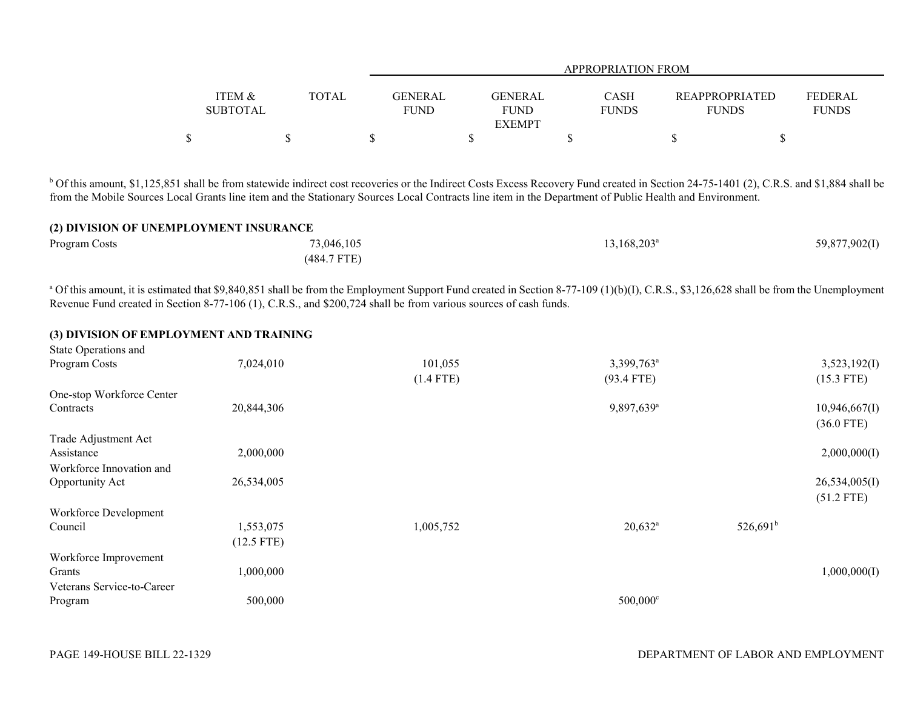|                   |       |             |               | <b>APPROPRIATION FROM</b> |                       |                |
|-------------------|-------|-------------|---------------|---------------------------|-----------------------|----------------|
| <b>ITEM &amp;</b> | TOTAL | GENERAL     | GENERAL       | CASH                      | <b>REAPPROPRIATED</b> | <b>FEDERAL</b> |
| <b>SUBTOTAL</b>   |       | <b>FUND</b> | <b>FUND</b>   | <b>FUNDS</b>              | <b>FUNDS</b>          | <b>FUNDS</b>   |
|                   |       |             | <b>EXEMPT</b> |                           |                       |                |
| Φ<br>Φ            |       |             |               |                           |                       |                |

<sup>b</sup> Of this amount, \$1,125,851 shall be from statewide indirect cost recoveries or the Indirect Costs Excess Recovery Fund created in Section 24-75-1401 (2), C.R.S. and \$1,884 shall be from the Mobile Sources Local Grants line item and the Stationary Sources Local Contracts line item in the Department of Public Health and Environment.

### **(2) DIVISION OF UNEMPLOYMENT INSURANCE**

| Program Costs | 73,046,105    | $13,168,203^{\circ}$ | 59,877,902(I) |
|---------------|---------------|----------------------|---------------|
|               | $(484.7$ FTE) |                      |               |

<sup>a</sup> Of this amount, it is estimated that \$9,840,851 shall be from the Employment Support Fund created in Section 8-77-109 (1)(b)(I), C.R.S., \$3,126,628 shall be from the Unemployment Revenue Fund created in Section 8-77-106 (1), C.R.S., and \$200,724 shall be from various sources of cash funds.

# **(3) DIVISION OF EMPLOYMENT AND TRAINING**

| State Operations and       |              |             |                        |             |               |
|----------------------------|--------------|-------------|------------------------|-------------|---------------|
| Program Costs              | 7,024,010    | 101,055     | 3,399,763 <sup>a</sup> |             | 3,523,192(I)  |
|                            |              | $(1.4$ FTE) | $(93.4$ FTE)           |             | $(15.3$ FTE)  |
| One-stop Workforce Center  |              |             |                        |             |               |
| Contracts                  | 20,844,306   |             | 9,897,639 <sup>a</sup> |             | 10,946,667(I) |
|                            |              |             |                        |             | $(36.0$ FTE)  |
| Trade Adjustment Act       |              |             |                        |             |               |
| Assistance                 | 2,000,000    |             |                        |             | 2,000,000(I)  |
| Workforce Innovation and   |              |             |                        |             |               |
| Opportunity Act            | 26,534,005   |             |                        |             | 26,534,005(I) |
|                            |              |             |                        |             | $(51.2$ FTE)  |
| Workforce Development      |              |             |                        |             |               |
| Council                    | 1,553,075    | 1,005,752   | $20,632^a$             | $526,691^b$ |               |
|                            | $(12.5$ FTE) |             |                        |             |               |
| Workforce Improvement      |              |             |                        |             |               |
| Grants                     | 1,000,000    |             |                        |             | 1,000,000(I)  |
| Veterans Service-to-Career |              |             |                        |             |               |
| Program                    | 500,000      |             | 500,000°               |             |               |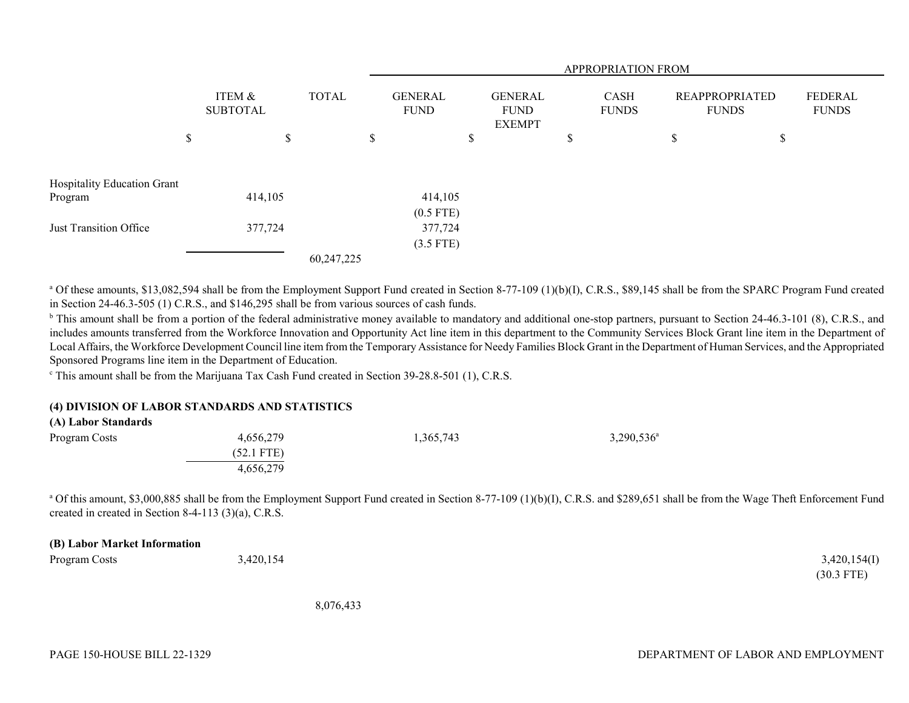|                             |                           |    |              | APPROPRIATION FROM            |    |                                                |    |                      |                                       |    |                                |
|-----------------------------|---------------------------|----|--------------|-------------------------------|----|------------------------------------------------|----|----------------------|---------------------------------------|----|--------------------------------|
|                             | ITEM &<br><b>SUBTOTAL</b> |    | <b>TOTAL</b> | <b>GENERAL</b><br><b>FUND</b> |    | <b>GENERAL</b><br><b>FUND</b><br><b>EXEMPT</b> |    | CASH<br><b>FUNDS</b> | <b>REAPPROPRIATED</b><br><b>FUNDS</b> |    | <b>FEDERAL</b><br><b>FUNDS</b> |
|                             | \$                        | \$ |              | \$                            | \$ |                                                | \$ |                      | \$                                    | \$ |                                |
| Hospitality Education Grant |                           |    |              |                               |    |                                                |    |                      |                                       |    |                                |
| Program                     | 414,105                   |    |              | 414,105                       |    |                                                |    |                      |                                       |    |                                |
|                             |                           |    |              | $(0.5$ FTE)                   |    |                                                |    |                      |                                       |    |                                |
| Just Transition Office      | 377,724                   |    |              | 377,724                       |    |                                                |    |                      |                                       |    |                                |
|                             |                           |    |              | $(3.5$ FTE)                   |    |                                                |    |                      |                                       |    |                                |
|                             |                           |    | 60,247,225   |                               |    |                                                |    |                      |                                       |    |                                |

<sup>a</sup> Of these amounts, \$13,082,594 shall be from the Employment Support Fund created in Section 8-77-109 (1)(b)(I), C.R.S., \$89,145 shall be from the SPARC Program Fund created in Section 24-46.3-505 (1) C.R.S., and \$146,295 shall be from various sources of cash funds.

<sup>b</sup> This amount shall be from a portion of the federal administrative money available to mandatory and additional one-stop partners, pursuant to Section 24-46.3-101 (8), C.R.S., and includes amounts transferred from the Workforce Innovation and Opportunity Act line item in this department to the Community Services Block Grant line item in the Department of Local Affairs, the Workforce Development Council line item from the Temporary Assistance for Needy Families Block Grant in the Department of Human Services, and the Appropriated Sponsored Programs line item in the Department of Education.

 $\textdegree$  This amount shall be from the Marijuana Tax Cash Fund created in Section 39-28.8-501 (1), C.R.S.

#### **(4) DIVISION OF LABOR STANDARDS AND STATISTICS**

| Program Costs | 4,656,279    | 1,365,743 | $3,290,536^{\circ}$ |
|---------------|--------------|-----------|---------------------|
|               | $(52.1$ FTE) |           |                     |
|               | 4,656,279    |           |                     |

<sup>a</sup> Of this amount, \$3,000,885 shall be from the Employment Support Fund created in Section 8-77-109 (1)(b)(I), C.R.S. and \$289,651 shall be from the Wage Theft Enforcement Fund created in created in Section 8-4-113 (3)(a), C.R.S.

#### **(B) Labor Market Information**

Program Costs 3,420,154 3,420,154(I)

8,076,433

(30.3 FTE)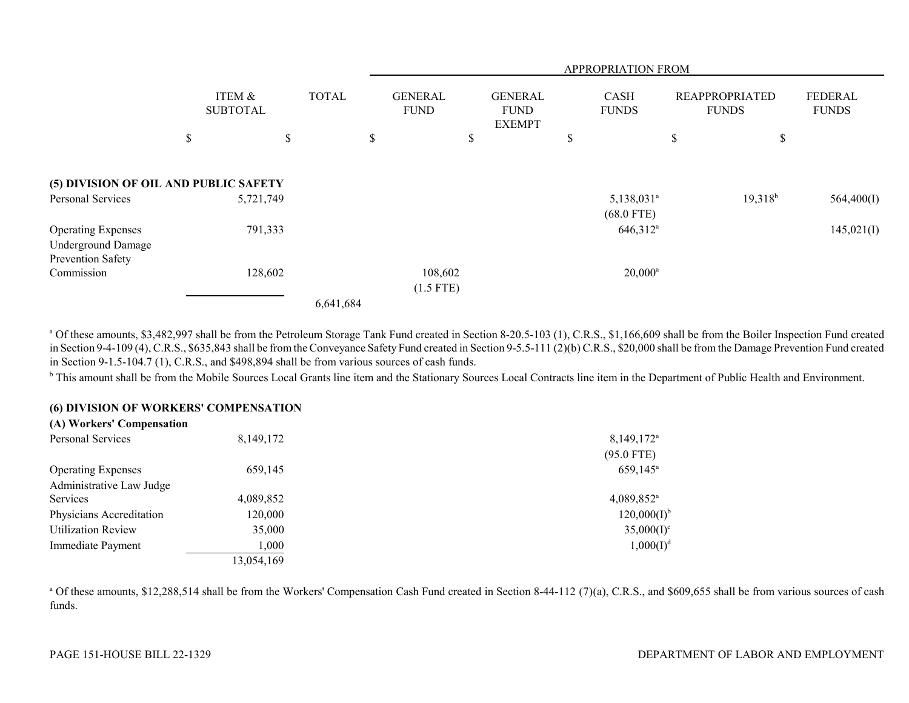|                                                        |                           |              |           |                               |                        |                                                | <b>APPROPRIATION FROM</b>                |                                       |            |                         |
|--------------------------------------------------------|---------------------------|--------------|-----------|-------------------------------|------------------------|------------------------------------------------|------------------------------------------|---------------------------------------|------------|-------------------------|
|                                                        | ITEM &<br><b>SUBTOTAL</b> | <b>TOTAL</b> |           | <b>GENERAL</b><br><b>FUND</b> |                        | <b>GENERAL</b><br><b>FUND</b><br><b>EXEMPT</b> | <b>CASH</b><br><b>FUNDS</b>              | <b>REAPPROPRIATED</b><br><b>FUNDS</b> |            | FEDERAL<br><b>FUNDS</b> |
|                                                        | \$                        | \$           | \$        |                               | \$                     |                                                | \$                                       | \$                                    | \$         |                         |
| (5) DIVISION OF OIL AND PUBLIC SAFETY                  |                           |              |           |                               |                        |                                                |                                          |                                       |            |                         |
| Personal Services                                      | 5,721,749                 |              |           |                               |                        |                                                | $5,138,031$ <sup>a</sup><br>$(68.0$ FTE) |                                       | $19,318^b$ | 564,400(I)              |
| <b>Operating Expenses</b><br><b>Underground Damage</b> | 791,333                   |              |           |                               |                        |                                                | 646,312 <sup>a</sup>                     |                                       |            | 145,021(I)              |
| Prevention Safety<br>Commission                        | 128,602                   |              |           |                               | 108,602<br>$(1.5$ FTE) |                                                | $20,000^a$                               |                                       |            |                         |
|                                                        |                           |              | 6,641,684 |                               |                        |                                                |                                          |                                       |            |                         |

<sup>a</sup> Of these amounts, \$3,482,997 shall be from the Petroleum Storage Tank Fund created in Section 8-20.5-103 (1), C.R.S., \$1,166,609 shall be from the Boiler Inspection Fund created in Section 9-4-109 (4), C.R.S., \$635,843 shall be from the Conveyance Safety Fund created in Section 9-5.5-111 (2)(b) C.R.S., \$20,000 shall be from the Damage Prevention Fund created in Section 9-1.5-104.7 (1), C.R.S., and \$498,894 shall be from various sources of cash funds.

<sup>b</sup> This amount shall be from the Mobile Sources Local Grants line item and the Stationary Sources Local Contracts line item in the Department of Public Health and Environment.

### **(6) DIVISION OF WORKERS' COMPENSATION**

| (A) Workers' Compensation |             |                          |
|---------------------------|-------------|--------------------------|
| Personal Services         | 8, 149, 172 | $8,149,172^{\circ}$      |
|                           |             | $(95.0$ FTE)             |
| <b>Operating Expenses</b> | 659,145     | $659,145^{\circ}$        |
| Administrative Law Judge  |             |                          |
| <b>Services</b>           | 4,089,852   | $4,089,852$ <sup>a</sup> |
| Physicians Accreditation  | 120,000     | $120,000(I)^{b}$         |
| <b>Utilization Review</b> | 35,000      | $35,000(I)^c$            |
| Immediate Payment         | 1,000       | $1,000(I)^d$             |
|                           | 13,054,169  |                          |
|                           |             |                          |

<sup>a</sup> Of these amounts, \$12,288,514 shall be from the Workers' Compensation Cash Fund created in Section 8-44-112 (7)(a), C.R.S., and \$609,655 shall be from various sources of cash funds.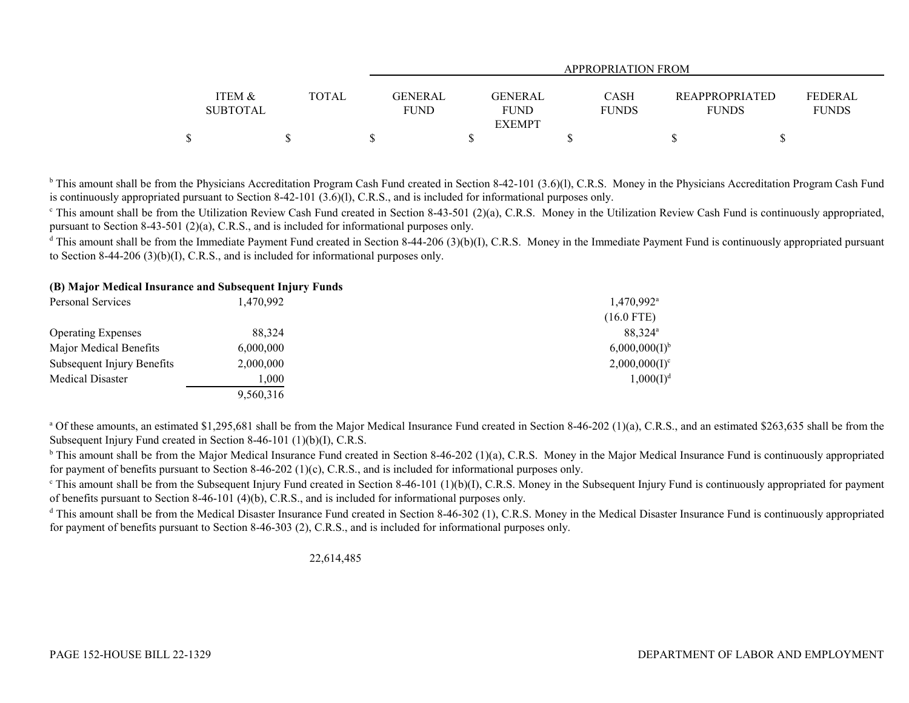|                   |              | APPROPRIATION FROM |                |              |                       |                |  |  |  |  |
|-------------------|--------------|--------------------|----------------|--------------|-----------------------|----------------|--|--|--|--|
|                   |              |                    |                |              |                       |                |  |  |  |  |
| <b>ITEM &amp;</b> | <b>TOTAL</b> | <b>GENERAL</b>     | <b>GENERAL</b> | <b>CASH</b>  | <b>REAPPROPRIATED</b> | <b>FEDERAL</b> |  |  |  |  |
| <b>SUBTOTAL</b>   |              | <b>FUND</b>        | <b>FUND</b>    | <b>FUNDS</b> | <b>FUNDS</b>          | <b>FUNDS</b>   |  |  |  |  |
|                   |              |                    | <b>EXEMPT</b>  |              |                       |                |  |  |  |  |
|                   |              |                    |                |              |                       |                |  |  |  |  |

<sup>b</sup> This amount shall be from the Physicians Accreditation Program Cash Fund created in Section 8-42-101 (3.6)(1), C.R.S. Money in the Physicians Accreditation Program Cash Fund is continuously appropriated pursuant to Section 8-42-101 (3.6)(l), C.R.S., and is included for informational purposes only.

 $\degree$  This amount shall be from the Utilization Review Cash Fund created in Section 8-43-501 (2)(a), C.R.S. Money in the Utilization Review Cash Fund is continuously appropriated, pursuant to Section 8-43-501 (2)(a), C.R.S., and is included for informational purposes only.

<sup>d</sup> This amount shall be from the Immediate Payment Fund created in Section 8-44-206 (3)(b)(I), C.R.S. Money in the Immediate Payment Fund is continuously appropriated pursuant to Section 8-44-206 (3)(b)(I), C.R.S., and is included for informational purposes only.

## **(B) Major Medical Insurance and Subsequent Injury Funds**

| Personal Services          | 1,470,992 | $1,470,992$ <sup>a</sup>  |
|----------------------------|-----------|---------------------------|
|                            |           | $(16.0$ FTE)              |
| <b>Operating Expenses</b>  | 88.324    | 88.324 <sup>a</sup>       |
| Major Medical Benefits     | 6,000,000 | 6,000,000(1) <sup>b</sup> |
| Subsequent Injury Benefits | 2,000,000 | $2,000,000(I)^c$          |
| Medical Disaster           | 1,000     | $1,000(I)^d$              |
|                            | 9,560,316 |                           |

<sup>a</sup> Of these amounts, an estimated \$1,295,681 shall be from the Major Medical Insurance Fund created in Section 8-46-202 (1)(a), C.R.S., and an estimated \$263,635 shall be from the Subsequent Injury Fund created in Section 8-46-101 (1)(b)(I), C.R.S.

<sup>b</sup> This amount shall be from the Major Medical Insurance Fund created in Section 8-46-202 (1)(a), C.R.S. Money in the Major Medical Insurance Fund is continuously appropriated for payment of benefits pursuant to Section 8-46-202 (1)(c), C.R.S., and is included for informational purposes only.

 $\epsilon$  This amount shall be from the Subsequent Injury Fund created in Section 8-46-101 (1)(b)(I), C.R.S. Money in the Subsequent Injury Fund is continuously appropriated for payment of benefits pursuant to Section 8-46-101 (4)(b), C.R.S., and is included for informational purposes only.

 $^{\text{d}}$  This amount shall be from the Medical Disaster Insurance Fund created in Section 8-46-302 (1), C.R.S. Money in the Medical Disaster Insurance Fund is continuously appropriated for payment of benefits pursuant to Section 8-46-303 (2), C.R.S., and is included for informational purposes only.

22,614,485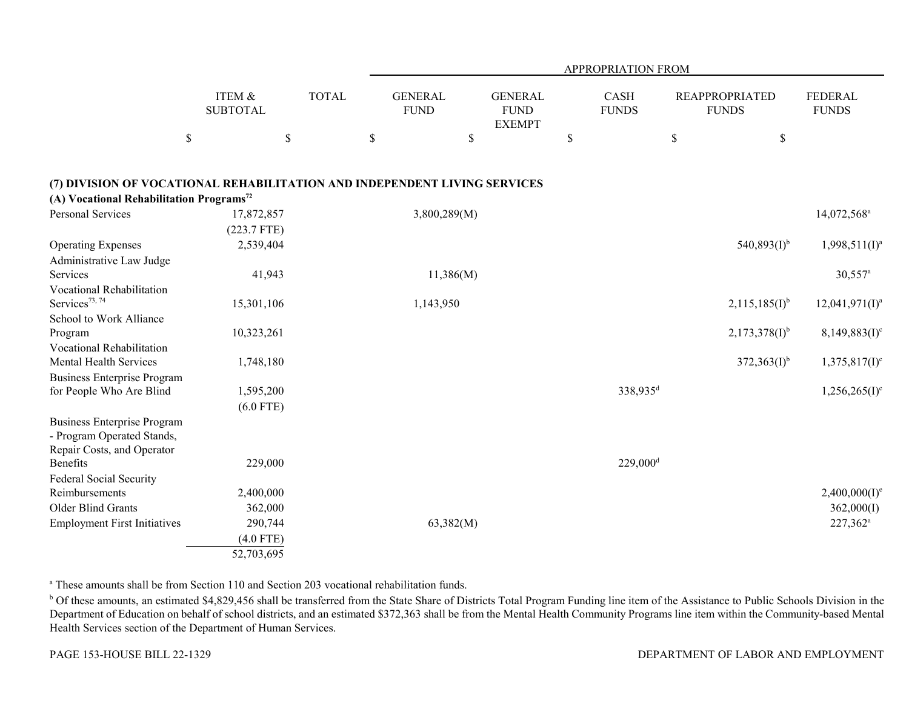|                                                                           |                           |              |                               |                                                | APPROPRIATION FROM     |                                       |                                |
|---------------------------------------------------------------------------|---------------------------|--------------|-------------------------------|------------------------------------------------|------------------------|---------------------------------------|--------------------------------|
|                                                                           | ITEM &<br><b>SUBTOTAL</b> | <b>TOTAL</b> | <b>GENERAL</b><br><b>FUND</b> | <b>GENERAL</b><br><b>FUND</b><br><b>EXEMPT</b> | CASH<br><b>FUNDS</b>   | <b>REAPPROPRIATED</b><br><b>FUNDS</b> | <b>FEDERAL</b><br><b>FUNDS</b> |
|                                                                           | $\$$                      | $\mathbb{S}$ | $\$$                          | $\$$                                           | $\$$                   | $\$$<br>$\$$                          |                                |
| (7) DIVISION OF VOCATIONAL REHABILITATION AND INDEPENDENT LIVING SERVICES |                           |              |                               |                                                |                        |                                       |                                |
| (A) Vocational Rehabilitation Programs <sup>72</sup>                      |                           |              |                               |                                                |                        |                                       |                                |
| <b>Personal Services</b>                                                  | 17,872,857                |              | 3,800,289(M)                  |                                                |                        |                                       | 14,072,568 <sup>a</sup>        |
|                                                                           | (223.7 FTE)               |              |                               |                                                |                        |                                       |                                |
| <b>Operating Expenses</b>                                                 | 2,539,404                 |              |                               |                                                |                        | $540,893(I)^{b}$                      | $1,998,511(I)^a$               |
| Administrative Law Judge                                                  |                           |              |                               |                                                |                        |                                       |                                |
| Services                                                                  | 41,943                    |              | 11,386(M)                     |                                                |                        |                                       | $30,557$ <sup>a</sup>          |
| Vocational Rehabilitation                                                 |                           |              |                               |                                                |                        |                                       |                                |
| Services <sup>73, 74</sup>                                                | 15,301,106                |              | 1,143,950                     |                                                |                        | $2,115,185(I)^{b}$                    | $12,041,971(I)^a$              |
| School to Work Alliance                                                   |                           |              |                               |                                                |                        |                                       |                                |
| Program                                                                   | 10,323,261                |              |                               |                                                |                        | $2,173,378(1)^{b}$                    | $8,149,883(1)$ <sup>c</sup>    |
| Vocational Rehabilitation                                                 |                           |              |                               |                                                |                        |                                       |                                |
| <b>Mental Health Services</b>                                             | 1,748,180                 |              |                               |                                                |                        | $372,363(I)^{b}$                      | $1,375,817(1)^c$               |
| <b>Business Enterprise Program</b>                                        |                           |              |                               |                                                |                        |                                       |                                |
| for People Who Are Blind                                                  | 1,595,200                 |              |                               |                                                | 338,935 <sup>d</sup>   |                                       | $1,256,265(I)^c$               |
|                                                                           | $(6.0$ FTE)               |              |                               |                                                |                        |                                       |                                |
| <b>Business Enterprise Program</b><br>- Program Operated Stands,          |                           |              |                               |                                                |                        |                                       |                                |
| Repair Costs, and Operator                                                |                           |              |                               |                                                |                        |                                       |                                |
| <b>Benefits</b>                                                           | 229,000                   |              |                               |                                                | $229,000$ <sup>d</sup> |                                       |                                |
| <b>Federal Social Security</b>                                            |                           |              |                               |                                                |                        |                                       |                                |
| Reimbursements                                                            | 2,400,000                 |              |                               |                                                |                        |                                       | $2,400,000(I)^e$               |
| Older Blind Grants                                                        | 362,000                   |              |                               |                                                |                        |                                       | 362,000(I)                     |
| <b>Employment First Initiatives</b>                                       | 290,744                   |              | 63,382(M)                     |                                                |                        |                                       | 227,362 <sup>a</sup>           |
|                                                                           | $(4.0$ FTE)               |              |                               |                                                |                        |                                       |                                |
|                                                                           | 52,703,695                |              |                               |                                                |                        |                                       |                                |

a These amounts shall be from Section 110 and Section 203 vocational rehabilitation funds.

<sup>b</sup> Of these amounts, an estimated \$4,829,456 shall be transferred from the State Share of Districts Total Program Funding line item of the Assistance to Public Schools Division in the Department of Education on behalf of school districts, and an estimated \$372,363 shall be from the Mental Health Community Programs line item within the Community-based Mental Health Services section of the Department of Human Services.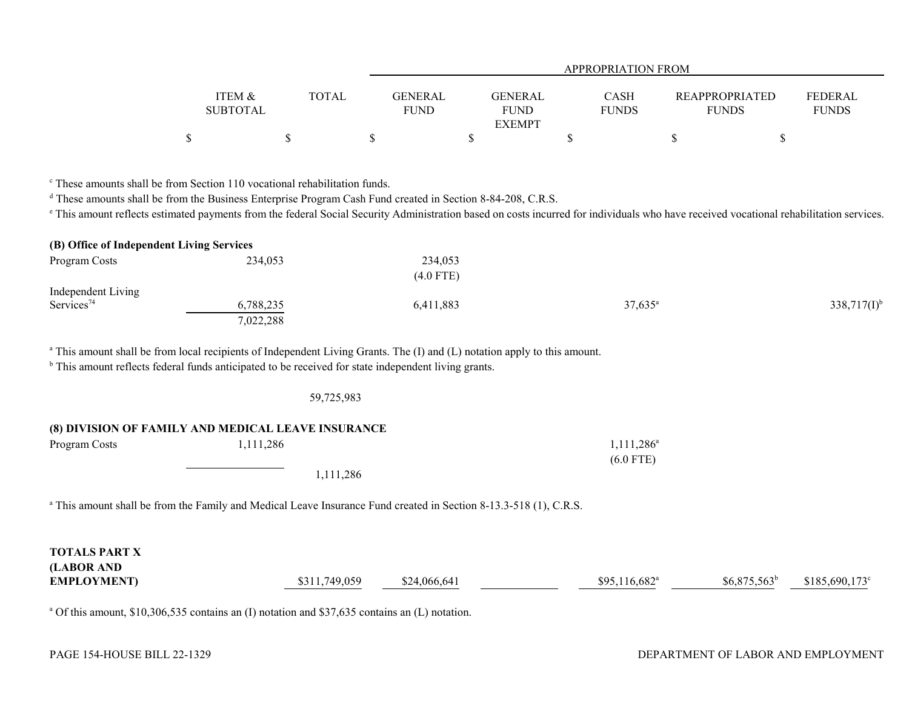|                   |       |             | <b>APPROPRIATION FROM</b> |              |                       |                |  |
|-------------------|-------|-------------|---------------------------|--------------|-----------------------|----------------|--|
|                   |       |             |                           |              |                       |                |  |
| <b>ITEM &amp;</b> | TOTAL | GENERAL     | GENERAL                   | CASH         | <b>REAPPROPRIATED</b> | <b>FEDERAL</b> |  |
| <b>SUBTOTAL</b>   |       | <b>FUND</b> | <b>FUND</b>               | <b>FUNDS</b> | <b>FUNDS</b>          | <b>FUNDS</b>   |  |
|                   |       |             | <b>EXEMPT</b>             |              |                       |                |  |
|                   |       |             |                           |              |                       |                |  |

c These amounts shall be from Section 110 vocational rehabilitation funds.

<sup>d</sup> These amounts shall be from the Business Enterprise Program Cash Fund created in Section 8-84-208, C.R.S.

<sup>e</sup> This amount reflects estimated payments from the federal Social Security Administration based on costs incurred for individuals who have received vocational rehabilitation services.

| (B) Office of Independent Living Services |           |             |                  |                  |
|-------------------------------------------|-----------|-------------|------------------|------------------|
| Program Costs                             | 234,053   | 234,053     |                  |                  |
|                                           |           | $(4.0$ FTE) |                  |                  |
| Independent Living                        |           |             |                  |                  |
| Services <sup>74</sup>                    | 6,788,235 | 6,411,883   | $37,635^{\circ}$ | $338,717(I)^{b}$ |
|                                           | 7,022,288 |             |                  |                  |

<sup>a</sup> This amount shall be from local recipients of Independent Living Grants. The (I) and (L) notation apply to this amount.

<sup>b</sup> This amount reflects federal funds anticipated to be received for state independent living grants.

## 59,725,983

# **(8) DIVISION OF FAMILY AND MEDICAL LEAVE INSURANCE**

| Program Costs | 1,111,286 | $1,111,286^{\circ}$ |
|---------------|-----------|---------------------|
|               |           | $(6.0$ FTE)         |
|               | 1,111,286 |                     |

<sup>a</sup> This amount shall be from the Family and Medical Leave Insurance Fund created in Section 8-13.3-518 (1), C.R.S.

| <b>TOTALS PART X</b><br>(LABOR AND |               |              |                            |                |                        |
|------------------------------------|---------------|--------------|----------------------------|----------------|------------------------|
| <b>EMPLOYMENT</b> )                | \$311,749,059 | \$24,066,641 | $$95,116,682$ <sup>a</sup> | $$6,875,563^b$ | $$185,690,173^{\circ}$ |

<sup>a</sup> Of this amount, \$10,306,535 contains an (I) notation and \$37,635 contains an (L) notation.